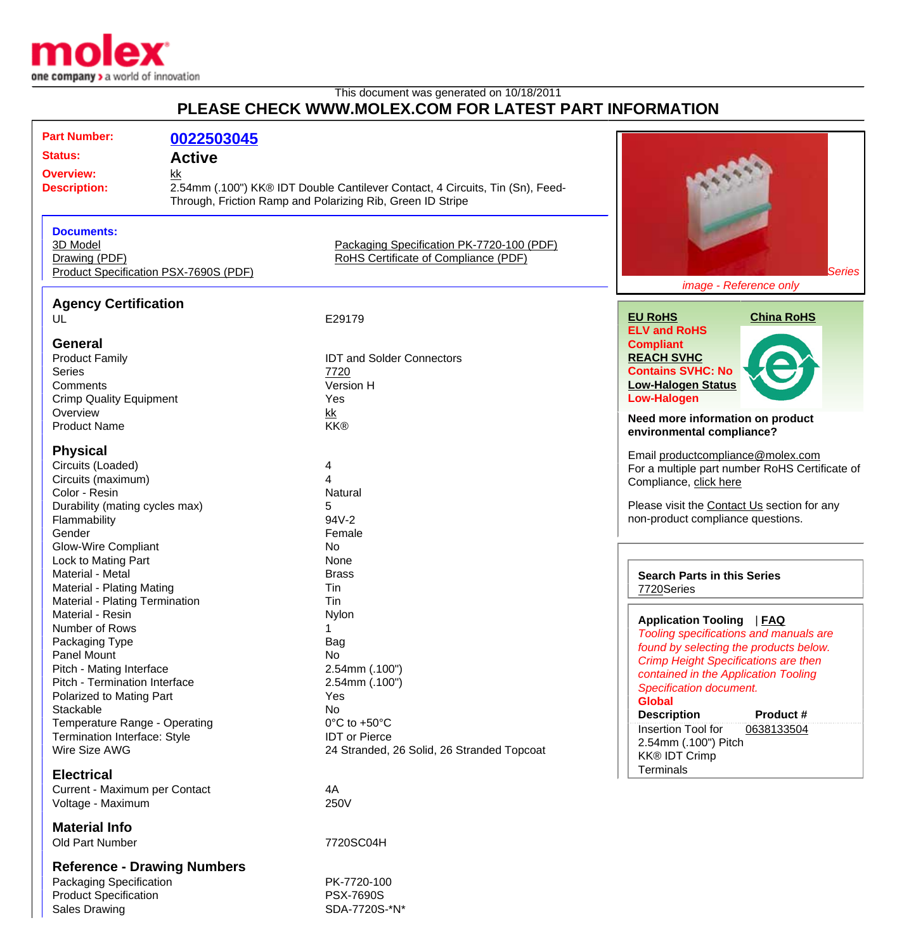

## This document was generated on 10/18/2011 **PLEASE CHECK WWW.MOLEX.COM FOR LATEST PART INFORMATION**

| <b>Part Number:</b><br><b>Status:</b><br><b>Overview:</b><br><b>Description:</b>                                                                                                                                                                                                                                                                                                                    | 0022503045<br><b>Active</b><br>kk<br>Through, Friction Ramp and Polarizing Rib, Green ID Stripe | 2.54mm (.100") KK® IDT Double Cantilever Contact, 4 Circuits, Tin (Sn), Feed-                                                                                                                                              |                                                                                                                                                                                                                                                                                                                                                                                                                                                                |
|-----------------------------------------------------------------------------------------------------------------------------------------------------------------------------------------------------------------------------------------------------------------------------------------------------------------------------------------------------------------------------------------------------|-------------------------------------------------------------------------------------------------|----------------------------------------------------------------------------------------------------------------------------------------------------------------------------------------------------------------------------|----------------------------------------------------------------------------------------------------------------------------------------------------------------------------------------------------------------------------------------------------------------------------------------------------------------------------------------------------------------------------------------------------------------------------------------------------------------|
| <b>Documents:</b><br>3D Model<br>Drawing (PDF)<br>Product Specification PSX-7690S (PDF)                                                                                                                                                                                                                                                                                                             |                                                                                                 | Packaging Specification PK-7720-100 (PDF)<br>RoHS Certificate of Compliance (PDF)                                                                                                                                          | Series<br>image - Reference only                                                                                                                                                                                                                                                                                                                                                                                                                               |
| <b>Agency Certification</b><br>UL<br><b>General</b><br><b>Product Family</b><br><b>Series</b><br>Comments<br><b>Crimp Quality Equipment</b><br>Overview                                                                                                                                                                                                                                             |                                                                                                 | E29179<br><b>IDT and Solder Connectors</b><br>7720<br>Version H<br>Yes<br>kk                                                                                                                                               | <b>EU RoHS</b><br><b>China RoHS</b><br><b>ELV and RoHS</b><br><b>Compliant</b><br><b>REACH SVHC</b><br><b>Contains SVHC: No</b><br><b>Low-Halogen Status</b><br><b>Low-Halogen</b><br>Need more information on product                                                                                                                                                                                                                                         |
| <b>Product Name</b><br><b>Physical</b><br>Circuits (Loaded)<br>Circuits (maximum)<br>Color - Resin<br>Durability (mating cycles max)<br>Flammability<br>Gender                                                                                                                                                                                                                                      |                                                                                                 | <b>KK®</b><br>4<br>4<br>Natural<br>5<br>94V-2<br>Female                                                                                                                                                                    | environmental compliance?<br>Email productcompliance@molex.com<br>For a multiple part number RoHS Certificate of<br>Compliance, click here<br>Please visit the Contact Us section for any<br>non-product compliance questions.                                                                                                                                                                                                                                 |
| <b>Glow-Wire Compliant</b><br>Lock to Mating Part<br>Material - Metal<br>Material - Plating Mating<br>Material - Plating Termination<br>Material - Resin<br>Number of Rows<br>Packaging Type<br>Panel Mount<br>Pitch - Mating Interface<br>Pitch - Termination Interface<br>Polarized to Mating Part<br>Stackable<br>Temperature Range - Operating<br>Termination Interface: Style<br>Wire Size AWG |                                                                                                 | No<br>None<br><b>Brass</b><br>Tin<br>Tin<br>Nylon<br>Bag<br>No<br>2.54mm (.100")<br>2.54mm (.100")<br>Yes<br>No<br>$0^{\circ}$ C to +50 $^{\circ}$ C<br><b>IDT</b> or Pierce<br>24 Stranded, 26 Solid, 26 Stranded Topcoat | <b>Search Parts in this Series</b><br>7720Series<br><b>Application Tooling</b><br> FAQ<br>Tooling specifications and manuals are<br>found by selecting the products below.<br><b>Crimp Height Specifications are then</b><br>contained in the Application Tooling<br><b>Specification document.</b><br><b>Global</b><br><b>Description</b><br>Product#<br>Insertion Tool for<br>0638133504<br>2.54mm (.100") Pitch<br><b>KK® IDT Crimp</b><br><b>Terminals</b> |
| <b>Electrical</b><br>Current - Maximum per Contact<br>Voltage - Maximum<br><b>Material Info</b><br>Old Part Number                                                                                                                                                                                                                                                                                  |                                                                                                 | 4A<br>250V<br>7720SC04H                                                                                                                                                                                                    |                                                                                                                                                                                                                                                                                                                                                                                                                                                                |

**Reference - Drawing Numbers**

Packaging Specification **PK-7720-100** Product Specification<br>
Sales Drawing<br>
Sales Drawing

SDA-7720S-\*N\*